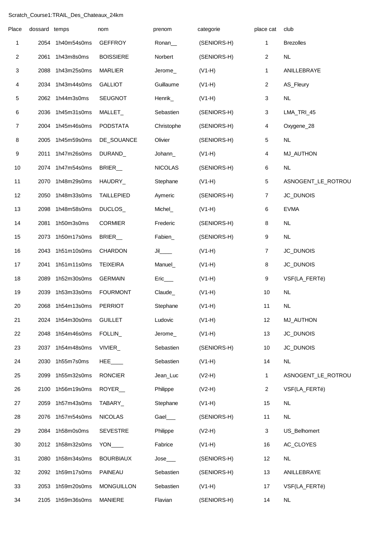## Scratch\_Course1:TRAIL\_Des\_Chateaux\_24km

| Place          | dossard temps |                  | nom                   | prenom                 | categorie   | place cat      | club               |
|----------------|---------------|------------------|-----------------------|------------------------|-------------|----------------|--------------------|
| 1              | 2054          | 1h40m54s0ms      | <b>GEFFROY</b>        | Ronan_                 | (SENIORS-H) | 1              | <b>Brezolles</b>   |
| $\overline{c}$ | 2061          | 1h43m8s0ms       | <b>BOISSIERE</b>      | Norbert                | (SENIORS-H) | 2              | NL                 |
| 3              | 2088          | 1h43m25s0ms      | <b>MARLIER</b>        | Jerome_                | $(V1-H)$    | 1              | ANILLEBRAYE        |
| 4              |               | 2034 1h43m44s0ms | <b>GALLIOT</b>        | Guillaume              | $(V1-H)$    | $\overline{a}$ | AS_Fleury          |
| 5              |               | 2062 1h44m3s0ms  | <b>SEUGNOT</b>        | Henrik_                | $(V1-H)$    | 3              | <b>NL</b>          |
| 6              | 2036          | 1h45m31s0ms      | MALLET_               | Sebastien              | (SENIORS-H) | 3              | LMA_TRI_45         |
| $\overline{7}$ | 2004          | 1h45m46s0ms      | <b>PODSTATA</b>       | Christophe             | (SENIORS-H) | 4              | Oxygene_28         |
| 8              | 2005          | 1h45m59s0ms      | DE_SOUANCE            | Olivier                | (SENIORS-H) | 5              | <b>NL</b>          |
| 9              | 2011          | 1h47m26s0ms      | DURAND_               | Johann_                | $(V1-H)$    | 4              | <b>MJ_AUTHON</b>   |
| 10             |               | 2074 1h47m54s0ms | BRIER_                | <b>NICOLAS</b>         | (SENIORS-H) | 6              | <b>NL</b>          |
| 11             | 2070          | 1h48m29s0ms      | HAUDRY_               | Stephane               | $(V1-H)$    | 5              | ASNOGENT_LE_ROTROU |
| 12             | 2050          | 1h48m33s0ms      | <b>TAILLEPIED</b>     | Aymeric                | (SENIORS-H) | 7              | JC_DUNOIS          |
| 13             | 2098          | 1h48m58s0ms      | DUCLOS_               | Michel_                | $(V1-H)$    | 6              | <b>EVMA</b>        |
| 14             | 2081          | 1h50m3s0ms       | <b>CORMIER</b>        | Frederic               | (SENIORS-H) | 8              | NL                 |
| 15             | 2073          | 1h50m17s0ms      | BRIER_                | Fabien_                | (SENIORS-H) | 9              | <b>NL</b>          |
| 16             | 2043          | 1h51m10s0ms      | CHARDON               | $J$ il_______          | $(V1-H)$    | 7              | JC_DUNOIS          |
| 17             | 2041          | 1h51m11s0ms      | <b>TEIXEIRA</b>       | Manuel_                | $(V1-H)$    | 8              | JC_DUNOIS          |
| 18             | 2089          | 1h52m30s0ms      | <b>GERMAIN</b>        | $Eric$ <sub>____</sub> | $(V1-H)$    | 9              | VSF(LA_FERTé)      |
| 19             | 2039          | 1h53m33s0ms      | <b>FOURMONT</b>       | Claude_                | $(V1-H)$    | 10             | NL                 |
| 20             | 2068          | 1h54m13s0ms      | <b>PERRIOT</b>        | Stephane               | $(V1-H)$    | 11             | <b>NL</b>          |
| 21             |               | 2024 1h54m30s0ms | <b>GUILLET</b>        | Ludovic                | $(V1-H)$    | 12             | <b>MJ_AUTHON</b>   |
| 22             |               | 2048 1h54m46s0ms | FOLLIN_               | Jerome_                | $(V1-H)$    | 13             | JC_DUNOIS          |
| 23             |               | 2037 1h54m48s0ms | VIVIER                | Sebastien              | (SENIORS-H) | 10             | JC_DUNOIS          |
| 24             | 2030          | 1h55m7s0ms       | HEE                   | Sebastien              | $(V1-H)$    | 14             | NL                 |
| 25             | 2099          | 1h55m32s0ms      | <b>RONCIER</b>        | Jean_Luc               | $(V2-H)$    | 1              | ASNOGENT_LE_ROTROU |
| 26             | 2100          | 1h56m19s0ms      | ROYER_                | Philippe               | $(V2-H)$    | 2              | VSF(LA_FERTé)      |
| 27             | 2059          | 1h57m43s0ms      | TABARY_               | Stephane               | $(V1-H)$    | 15             | <b>NL</b>          |
| 28             |               | 2076 1h57m54s0ms | <b>NICOLAS</b>        | Gael___                | (SENIORS-H) | 11             | <b>NL</b>          |
| 29             |               | 2084 1h58m0s0ms  | <b>SEVESTRE</b>       | Philippe               | $(V2-H)$    | 3              | US_Belhomert       |
| 30             |               | 2012 1h58m32s0ms | $YON$ <sub>____</sub> | Fabrice                | $(V1-H)$    | 16             | AC_CLOYES          |
| 31             | 2080          | 1h58m34s0ms      | <b>BOURBIAUX</b>      | $Jose$ <sub>____</sub> | (SENIORS-H) | 12             | NL                 |
| 32             |               | 2092 1h59m17s0ms | PAINEAU               | Sebastien              | (SENIORS-H) | 13             | ANILLEBRAYE        |
| 33             | 2053          | 1h59m20s0ms      | <b>MONGUILLON</b>     | Sebastien              | $(V1-H)$    | 17             | VSF(LA_FERTé)      |
| 34             |               | 2105 1h59m36s0ms | <b>MANIERE</b>        | Flavian                | (SENIORS-H) | 14             | NL                 |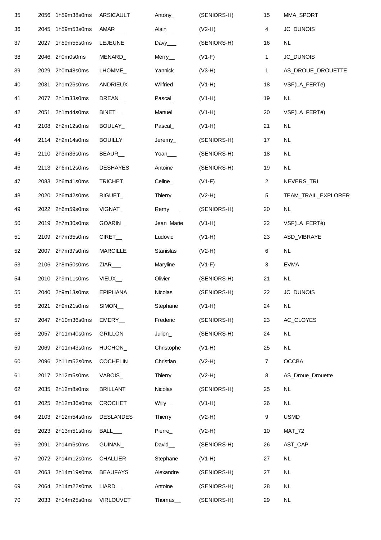| 35 | 2056 | 1h59m38s0ms      | ARSICAULT           | Antony_                | (SENIORS-H) | 15                      | MMA_SPORT           |
|----|------|------------------|---------------------|------------------------|-------------|-------------------------|---------------------|
| 36 | 2045 | 1h59m53s0ms      | AMAR <sub>___</sub> | Alain_                 | $(V2-H)$    | $\overline{\mathbf{4}}$ | JC_DUNOIS           |
| 37 | 2027 | 1h59m55s0ms      | <b>LEJEUNE</b>      | Davy <sub>____</sub>   | (SENIORS-H) | 16                      | <b>NL</b>           |
| 38 |      | 2046 2h0m0s0ms   | MENARD_             | Merry_                 | $(V1-F)$    | 1                       | JC_DUNOIS           |
| 39 | 2029 | 2h0m48s0ms       | LHOMME_             | Yannick                | $(V3-H)$    | 1                       | AS_DROUE_DROUETTE   |
| 40 | 2031 | 2h1m26s0ms       | <b>ANDRIEUX</b>     | Wilfried               | $(V1-H)$    | 18                      | VSF(LA_FERTé)       |
| 41 |      | 2077 2h1m33s0ms  | DREAN_              | Pascal_                | $(V1-H)$    | 19                      | <b>NL</b>           |
| 42 |      | 2051 2h1m44s0ms  | BINET_              | Manuel_                | $(V1-H)$    | 20                      | VSF(LA_FERTé)       |
| 43 |      | 2108 2h2m12s0ms  | BOULAY_             | Pascal_                | $(V1-H)$    | 21                      | NL                  |
| 44 |      | 2114 2h2m14s0ms  | <b>BOUILLY</b>      | Jeremy                 | (SENIORS-H) | 17                      | <b>NL</b>           |
| 45 | 2110 | 2h3m36s0ms       | BEAUR_              | Yoan                   | (SENIORS-H) | 18                      | NL                  |
| 46 |      | 2113 2h6m12s0ms  | <b>DESHAYES</b>     | Antoine                | (SENIORS-H) | 19                      | NL                  |
| 47 | 2083 | 2h6m41s0ms       | <b>TRICHET</b>      | Celine_                | $(V1-F)$    | $\sqrt{2}$              | NEVERS_TRI          |
| 48 |      | 2020 2h6m42s0ms  | RIGUET_             | <b>Thierry</b>         | $(V2-H)$    | 5                       | TEAM_TRAIL_EXPLORER |
| 49 |      | 2022 2h6m59s0ms  | VIGNAT_             | $Remy$ <sub>____</sub> | (SENIORS-H) | 20                      | NL                  |
| 50 |      | 2019 2h7m30s0ms  | GOARIN_             | Jean_Marie             | $(V1-H)$    | 22                      | VSF(LA_FERTé)       |
| 51 | 2109 | 2h7m35s0ms       | CIRET               | Ludovic                | $(V1-H)$    | 23                      | ASD_VIBRAYE         |
| 52 | 2007 | 2h7m37s0ms       | <b>MARCILLE</b>     | Stanislas              | $(V2-H)$    | $\,6$                   | $\sf NL$            |
| 53 |      | 2106 2h8m50s0ms  | ZIAR <sub>N</sub>   | Maryline               | $(V1-F)$    | 3                       | <b>EVMA</b>         |
| 54 |      | 2010 2h9m11s0ms  | VIEUX_              | Olivier                | (SENIORS-H) | 21                      | NL                  |
| 55 |      | 2040 2h9m13s0ms  | <b>EPIPHANA</b>     | Nicolas                | (SENIORS-H) | 22                      | JC_DUNOIS           |
| 56 | 2021 | 2h9m21s0ms       | SIMON_              | Stephane               | $(V1-H)$    | 24                      | NL                  |
| 57 | 2047 | 2h10m36s0ms      | EMERY_              | Frederic               | (SENIORS-H) | 23                      | AC_CLOYES           |
| 58 |      | 2057 2h11m40s0ms | <b>GRILLON</b>      | Julien_                | (SENIORS-H) | 24                      | <b>NL</b>           |
| 59 | 2069 | 2h11m43s0ms      | HUCHON_             | Christophe             | $(V1-H)$    | 25                      | <b>NL</b>           |
| 60 |      | 2096 2h11m52s0ms | <b>COCHELIN</b>     | Christian              | $(V2-H)$    | $\overline{7}$          | <b>OCCBA</b>        |
| 61 | 2017 | 2h12m5s0ms       | VABOIS_             | <b>Thierry</b>         | $(V2-H)$    | 8                       | AS_Droue_Drouette   |
| 62 | 2035 | 2h12m8s0ms       | <b>BRILLANT</b>     | <b>Nicolas</b>         | (SENIORS-H) | 25                      | NL                  |
| 63 | 2025 | 2h12m36s0ms      | CROCHET             | $Willy$ <sub>__</sub>  | $(V1-H)$    | 26                      | NL                  |
| 64 |      | 2103 2h12m54s0ms | <b>DESLANDES</b>    | Thierry                | $(V2-H)$    | 9                       | <b>USMD</b>         |
| 65 | 2023 | 2h13m51s0ms      | BALL___             | Pierre_                | $(V2-H)$    | 10                      | <b>MAT_72</b>       |
| 66 | 2091 | 2h14m6s0ms       | GUINAN_             | David_                 | (SENIORS-H) | 26                      | AST_CAP             |
| 67 |      | 2072 2h14m12s0ms | CHALLIER            | Stephane               | $(V1-H)$    | 27                      | NL                  |
| 68 |      | 2063 2h14m19s0ms | <b>BEAUFAYS</b>     | Alexandre              | (SENIORS-H) | 27                      | <b>NL</b>           |
| 69 |      | 2064 2h14m22s0ms | LIARD_              | Antoine                | (SENIORS-H) | 28                      | <b>NL</b>           |
| 70 | 2033 | 2h14m25s0ms      | <b>VIRLOUVET</b>    | Thomas_                | (SENIORS-H) | 29                      | <b>NL</b>           |